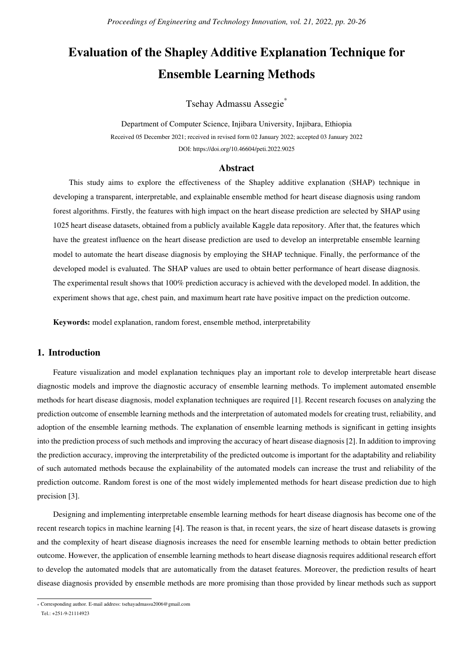# **Evaluation of the Shapley Additive Explanation Technique for Ensemble Learning Methods**

Tsehay Admassu Assegie\*

Department of Computer Science, Injibara University, Injibara, Ethiopia Received 05 December 2021; received in revised form 02 January 2022; accepted 03 January 2022 DOI: https://doi.org/10.46604/peti.2022.9025

#### **Abstract**

This study aims to explore the effectiveness of the Shapley additive explanation (SHAP) technique in developing a transparent, interpretable, and explainable ensemble method for heart disease diagnosis using random forest algorithms. Firstly, the features with high impact on the heart disease prediction are selected by SHAP using 1025 heart disease datasets, obtained from a publicly available Kaggle data repository. After that, the features which have the greatest influence on the heart disease prediction are used to develop an interpretable ensemble learning model to automate the heart disease diagnosis by employing the SHAP technique. Finally, the performance of the developed model is evaluated. The SHAP values are used to obtain better performance of heart disease diagnosis. The experimental result shows that 100% prediction accuracy is achieved with the developed model. In addition, the experiment shows that age, chest pain, and maximum heart rate have positive impact on the prediction outcome.

**Keywords:** model explanation, random forest, ensemble method, interpretability

## **1. Introduction**

Feature visualization and model explanation techniques play an important role to develop interpretable heart disease diagnostic models and improve the diagnostic accuracy of ensemble learning methods. To implement automated ensemble methods for heart disease diagnosis, model explanation techniques are required [1]. Recent research focuses on analyzing the prediction outcome of ensemble learning methods and the interpretation of automated models for creating trust, reliability, and adoption of the ensemble learning methods. The explanation of ensemble learning methods is significant in getting insights into the prediction process of such methods and improving the accuracy of heart disease diagnosis [2]. In addition to improving the prediction accuracy, improving the interpretability of the predicted outcome is important for the adaptability and reliability of such automated methods because the explainability of the automated models can increase the trust and reliability of the prediction outcome. Random forest is one of the most widely implemented methods for heart disease prediction due to high precision [3].

Designing and implementing interpretable ensemble learning methods for heart disease diagnosis has become one of the recent research topics in machine learning [4]. The reason is that, in recent years, the size of heart disease datasets is growing and the complexity of heart disease diagnosis increases the need for ensemble learning methods to obtain better prediction outcome. However, the application of ensemble learning methods to heart disease diagnosis requires additional research effort to develop the automated models that are automatically from the dataset features. Moreover, the prediction results of heart disease diagnosis provided by ensemble methods are more promising than those provided by linear methods such as support

 \* Corresponding author. E-mail address: tsehayadmassu2006@gmail.com

Tel.: +251-9-21114923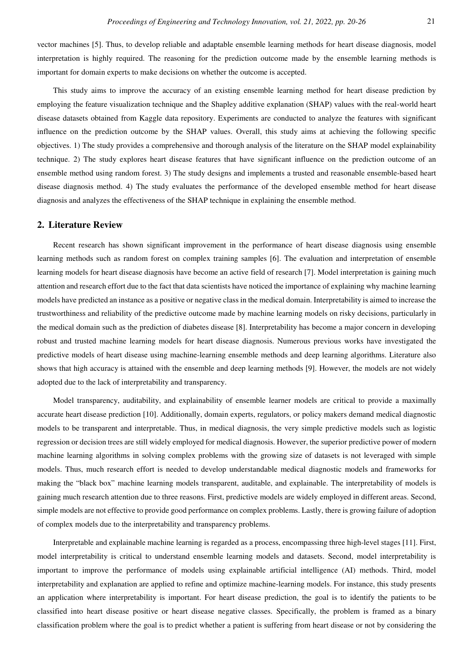vector machines [5]. Thus, to develop reliable and adaptable ensemble learning methods for heart disease diagnosis, model interpretation is highly required. The reasoning for the prediction outcome made by the ensemble learning methods is important for domain experts to make decisions on whether the outcome is accepted.

This study aims to improve the accuracy of an existing ensemble learning method for heart disease prediction by employing the feature visualization technique and the Shapley additive explanation (SHAP) values with the real-world heart disease datasets obtained from Kaggle data repository. Experiments are conducted to analyze the features with significant influence on the prediction outcome by the SHAP values. Overall, this study aims at achieving the following specific objectives. 1) The study provides a comprehensive and thorough analysis of the literature on the SHAP model explainability technique. 2) The study explores heart disease features that have significant influence on the prediction outcome of an ensemble method using random forest. 3) The study designs and implements a trusted and reasonable ensemble-based heart disease diagnosis method. 4) The study evaluates the performance of the developed ensemble method for heart disease diagnosis and analyzes the effectiveness of the SHAP technique in explaining the ensemble method.

#### **2. Literature Review**

Recent research has shown significant improvement in the performance of heart disease diagnosis using ensemble learning methods such as random forest on complex training samples [6]. The evaluation and interpretation of ensemble learning models for heart disease diagnosis have become an active field of research [7]. Model interpretation is gaining much attention and research effort due to the fact that data scientists have noticed the importance of explaining why machine learning models have predicted an instance as a positive or negative class in the medical domain. Interpretability is aimed to increase the trustworthiness and reliability of the predictive outcome made by machine learning models on risky decisions, particularly in the medical domain such as the prediction of diabetes disease [8]. Interpretability has become a major concern in developing robust and trusted machine learning models for heart disease diagnosis. Numerous previous works have investigated the predictive models of heart disease using machine-learning ensemble methods and deep learning algorithms. Literature also shows that high accuracy is attained with the ensemble and deep learning methods [9]. However, the models are not widely adopted due to the lack of interpretability and transparency.

Model transparency, auditability, and explainability of ensemble learner models are critical to provide a maximally accurate heart disease prediction [10]. Additionally, domain experts, regulators, or policy makers demand medical diagnostic models to be transparent and interpretable. Thus, in medical diagnosis, the very simple predictive models such as logistic regression or decision trees are still widely employed for medical diagnosis. However, the superior predictive power of modern machine learning algorithms in solving complex problems with the growing size of datasets is not leveraged with simple models. Thus, much research effort is needed to develop understandable medical diagnostic models and frameworks for making the "black box" machine learning models transparent, auditable, and explainable. The interpretability of models is gaining much research attention due to three reasons. First, predictive models are widely employed in different areas. Second, simple models are not effective to provide good performance on complex problems. Lastly, there is growing failure of adoption of complex models due to the interpretability and transparency problems.

Interpretable and explainable machine learning is regarded as a process, encompassing three high-level stages [11]. First, model interpretability is critical to understand ensemble learning models and datasets. Second, model interpretability is important to improve the performance of models using explainable artificial intelligence (AI) methods. Third, model interpretability and explanation are applied to refine and optimize machine-learning models. For instance, this study presents an application where interpretability is important. For heart disease prediction, the goal is to identify the patients to be classified into heart disease positive or heart disease negative classes. Specifically, the problem is framed as a binary classification problem where the goal is to predict whether a patient is suffering from heart disease or not by considering the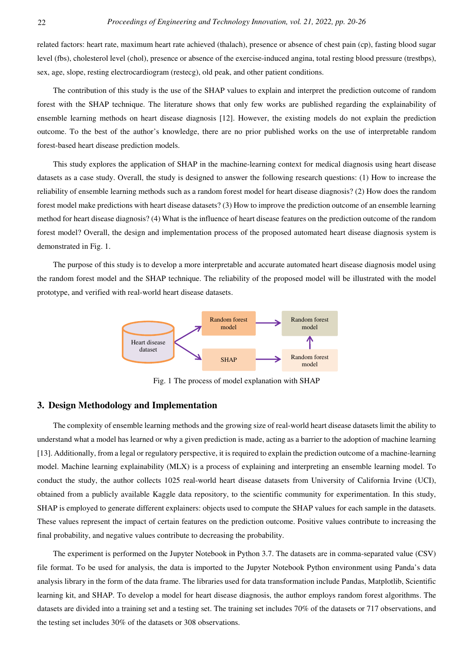related factors: heart rate, maximum heart rate achieved (thalach), presence or absence of chest pain (cp), fasting blood sugar level (fbs), cholesterol level (chol), presence or absence of the exercise-induced angina, total resting blood pressure (trestbps), sex, age, slope, resting electrocardiogram (restecg), old peak, and other patient conditions.

The contribution of this study is the use of the SHAP values to explain and interpret the prediction outcome of random forest with the SHAP technique. The literature shows that only few works are published regarding the explainability of ensemble learning methods on heart disease diagnosis [12]. However, the existing models do not explain the prediction outcome. To the best of the author's knowledge, there are no prior published works on the use of interpretable random forest-based heart disease prediction models.

This study explores the application of SHAP in the machine-learning context for medical diagnosis using heart disease datasets as a case study. Overall, the study is designed to answer the following research questions: (1) How to increase the reliability of ensemble learning methods such as a random forest model for heart disease diagnosis? (2) How does the random forest model make predictions with heart disease datasets? (3) How to improve the prediction outcome of an ensemble learning method for heart disease diagnosis? (4) What is the influence of heart disease features on the prediction outcome of the random forest model? Overall, the design and implementation process of the proposed automated heart disease diagnosis system is demonstrated in Fig. 1.

The purpose of this study is to develop a more interpretable and accurate automated heart disease diagnosis model using the random forest model and the SHAP technique. The reliability of the proposed model will be illustrated with the model prototype, and verified with real-world heart disease datasets.



Fig. 1 The process of model explanation with SHAP

## **3. Design Methodology and Implementation**

The complexity of ensemble learning methods and the growing size of real-world heart disease datasets limit the ability to understand what a model has learned or why a given prediction is made, acting as a barrier to the adoption of machine learning [13]. Additionally, from a legal or regulatory perspective, it is required to explain the prediction outcome of a machine-learning model. Machine learning explainability (MLX) is a process of explaining and interpreting an ensemble learning model. To conduct the study, the author collects 1025 real-world heart disease datasets from University of California Irvine (UCI), obtained from a publicly available Kaggle data repository, to the scientific community for experimentation. In this study, SHAP is employed to generate different explainers: objects used to compute the SHAP values for each sample in the datasets. These values represent the impact of certain features on the prediction outcome. Positive values contribute to increasing the final probability, and negative values contribute to decreasing the probability.

The experiment is performed on the Jupyter Notebook in Python 3.7. The datasets are in comma-separated value (CSV) file format. To be used for analysis, the data is imported to the Jupyter Notebook Python environment using Panda's data analysis library in the form of the data frame. The libraries used for data transformation include Pandas, Matplotlib, Scientific learning kit, and SHAP. To develop a model for heart disease diagnosis, the author employs random forest algorithms. The datasets are divided into a training set and a testing set. The training set includes 70% of the datasets or 717 observations, and the testing set includes 30% of the datasets or 308 observations.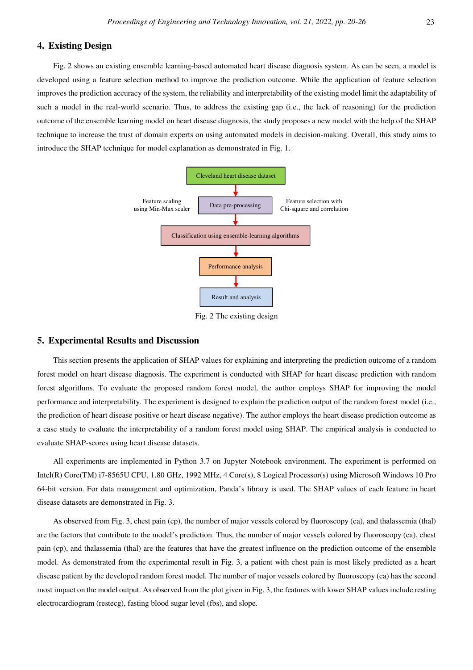## **4. Existing Design**

Fig. 2 shows an existing ensemble learning-based automated heart disease diagnosis system. As can be seen, a model is developed using a feature selection method to improve the prediction outcome. While the application of feature selection improves the prediction accuracy of the system, the reliability and interpretability of the existing model limit the adaptability of such a model in the real-world scenario. Thus, to address the existing gap (i.e., the lack of reasoning) for the prediction outcome of the ensemble learning model on heart disease diagnosis, the study proposes a new model with the help of the SHAP technique to increase the trust of domain experts on using automated models in decision-making. Overall, this study aims to introduce the SHAP technique for model explanation as demonstrated in Fig. 1.



Fig. 2 The existing design

## **5. Experimental Results and Discussion**

This section presents the application of SHAP values for explaining and interpreting the prediction outcome of a random forest model on heart disease diagnosis. The experiment is conducted with SHAP for heart disease prediction with random forest algorithms. To evaluate the proposed random forest model, the author employs SHAP for improving the model performance and interpretability. The experiment is designed to explain the prediction output of the random forest model (i.e., the prediction of heart disease positive or heart disease negative). The author employs the heart disease prediction outcome as a case study to evaluate the interpretability of a random forest model using SHAP. The empirical analysis is conducted to evaluate SHAP-scores using heart disease datasets.

All experiments are implemented in Python 3.7 on Jupyter Notebook environment. The experiment is performed on Intel(R) Core(TM) i7-8565U CPU, 1.80 GHz, 1992 MHz, 4 Core(s), 8 Logical Processor(s) using Microsoft Windows 10 Pro 64-bit version. For data management and optimization, Panda's library is used. The SHAP values of each feature in heart disease datasets are demonstrated in Fig. 3.

As observed from Fig. 3, chest pain (cp), the number of major vessels colored by fluoroscopy (ca), and thalassemia (thal) are the factors that contribute to the model's prediction. Thus, the number of major vessels colored by fluoroscopy (ca), chest pain (cp), and thalassemia (thal) are the features that have the greatest influence on the prediction outcome of the ensemble model. As demonstrated from the experimental result in Fig. 3, a patient with chest pain is most likely predicted as a heart disease patient by the developed random forest model. The number of major vessels colored by fluoroscopy (ca) has the second most impact on the model output. As observed from the plot given in Fig. 3, the features with lower SHAP values include resting electrocardiogram (restecg), fasting blood sugar level (fbs), and slope.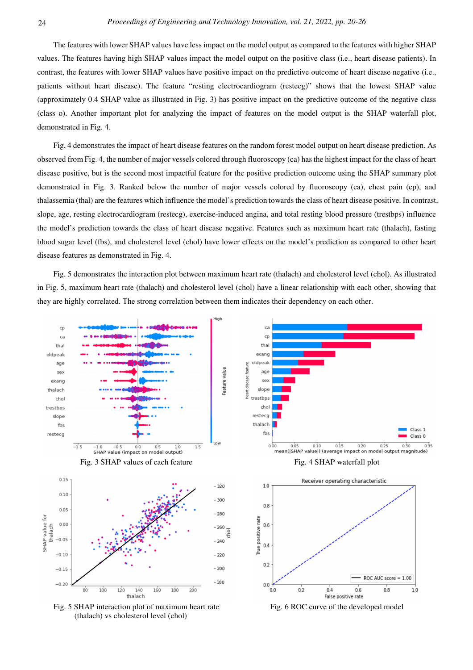The features with lower SHAP values have less impact on the model output as compared to the features with higher SHAP values. The features having high SHAP values impact the model output on the positive class (i.e., heart disease patients). In contrast, the features with lower SHAP values have positive impact on the predictive outcome of heart disease negative (i.e., patients without heart disease). The feature "resting electrocardiogram (restecg)" shows that the lowest SHAP value (approximately 0.4 SHAP value as illustrated in Fig. 3) has positive impact on the predictive outcome of the negative class (class o). Another important plot for analyzing the impact of features on the model output is the SHAP waterfall plot, demonstrated in Fig. 4.

Fig. 4 demonstrates the impact of heart disease features on the random forest model output on heart disease prediction. As observed from Fig. 4, the number of major vessels colored through fluoroscopy (ca) has the highest impact for the class of heart disease positive, but is the second most impactful feature for the positive prediction outcome using the SHAP summary plot demonstrated in Fig. 3. Ranked below the number of major vessels colored by fluoroscopy (ca), chest pain (cp), and thalassemia (thal) are the features which influence the model's prediction towards the class of heart disease positive. In contrast, slope, age, resting electrocardiogram (restecg), exercise-induced angina, and total resting blood pressure (trestbps) influence the model's prediction towards the class of heart disease negative. Features such as maximum heart rate (thalach), fasting blood sugar level (fbs), and cholesterol level (chol) have lower effects on the model's prediction as compared to other heart disease features as demonstrated in Fig. 4.

Fig. 5 demonstrates the interaction plot between maximum heart rate (thalach) and cholesterol level (chol). As illustrated in Fig. 5, maximum heart rate (thalach) and cholesterol level (chol) have a linear relationship with each other, showing that they are highly correlated. The strong correlation between them indicates their dependency on each other.

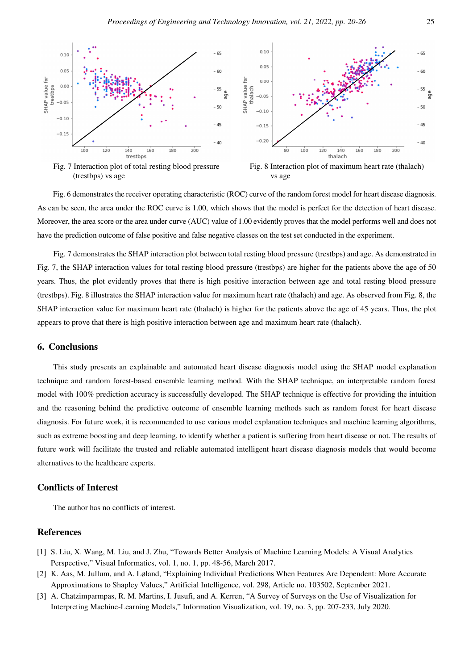

Fig. 6 demonstrates the receiver operating characteristic (ROC) curve of the random forest model for heart disease diagnosis. As can be seen, the area under the ROC curve is 1.00, which shows that the model is perfect for the detection of heart disease. Moreover, the area score or the area under curve (AUC) value of 1.00 evidently proves that the model performs well and does not have the prediction outcome of false positive and false negative classes on the test set conducted in the experiment.

Fig. 7 demonstrates the SHAP interaction plot between total resting blood pressure (trestbps) and age. As demonstrated in Fig. 7, the SHAP interaction values for total resting blood pressure (trestbps) are higher for the patients above the age of 50 years. Thus, the plot evidently proves that there is high positive interaction between age and total resting blood pressure (trestbps). Fig. 8 illustrates the SHAP interaction value for maximum heart rate (thalach) and age. As observed from Fig. 8, the SHAP interaction value for maximum heart rate (thalach) is higher for the patients above the age of 45 years. Thus, the plot appears to prove that there is high positive interaction between age and maximum heart rate (thalach).

#### **6. Conclusions**

This study presents an explainable and automated heart disease diagnosis model using the SHAP model explanation technique and random forest-based ensemble learning method. With the SHAP technique, an interpretable random forest model with 100% prediction accuracy is successfully developed. The SHAP technique is effective for providing the intuition and the reasoning behind the predictive outcome of ensemble learning methods such as random forest for heart disease diagnosis. For future work, it is recommended to use various model explanation techniques and machine learning algorithms, such as extreme boosting and deep learning, to identify whether a patient is suffering from heart disease or not. The results of future work will facilitate the trusted and reliable automated intelligent heart disease diagnosis models that would become alternatives to the healthcare experts.

## **Conflicts of Interest**

The author has no conflicts of interest.

#### **References**

- [1] S. Liu, X. Wang, M. Liu, and J. Zhu, "Towards Better Analysis of Machine Learning Models: A Visual Analytics Perspective," Visual Informatics, vol. 1, no. 1, pp. 48-56, March 2017.
- [2] K. Aas, M. Jullum, and A. Løland, "Explaining Individual Predictions When Features Are Dependent: More Accurate Approximations to Shapley Values," Artificial Intelligence, vol. 298, Article no. 103502, September 2021.
- [3] A. Chatzimparmpas, R. M. Martins, I. Jusufi, and A. Kerren, "A Survey of Surveys on the Use of Visualization for Interpreting Machine-Learning Models," Information Visualization, vol. 19, no. 3, pp. 207-233, July 2020.